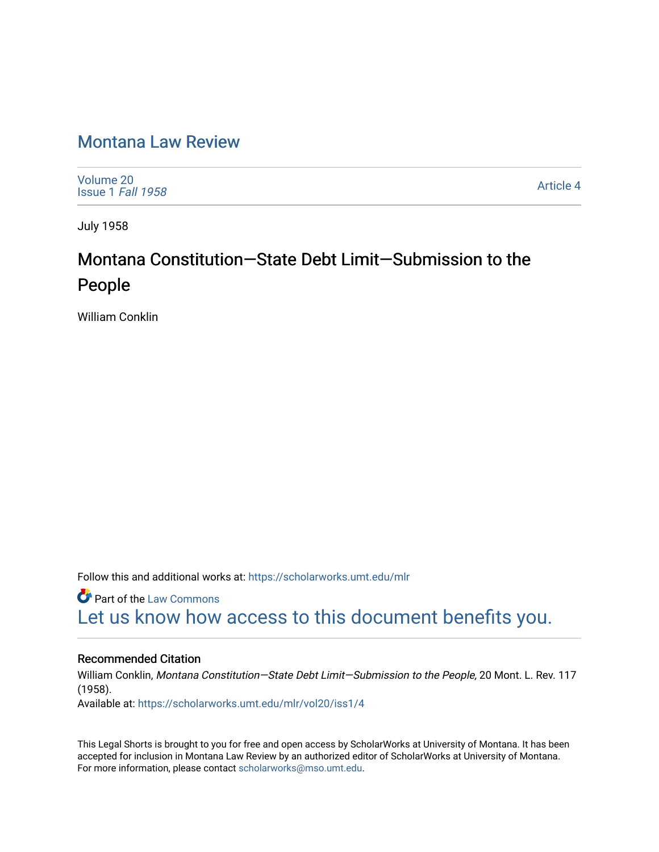### [Montana Law Review](https://scholarworks.umt.edu/mlr)

[Volume 20](https://scholarworks.umt.edu/mlr/vol20) [Issue 1](https://scholarworks.umt.edu/mlr/vol20/iss1) Fall 1958

[Article 4](https://scholarworks.umt.edu/mlr/vol20/iss1/4) 

July 1958

# Montana Constitution—State Debt Limit—Submission to the People

William Conklin

Follow this and additional works at: [https://scholarworks.umt.edu/mlr](https://scholarworks.umt.edu/mlr?utm_source=scholarworks.umt.edu%2Fmlr%2Fvol20%2Fiss1%2F4&utm_medium=PDF&utm_campaign=PDFCoverPages) 

**Part of the [Law Commons](http://network.bepress.com/hgg/discipline/578?utm_source=scholarworks.umt.edu%2Fmlr%2Fvol20%2Fiss1%2F4&utm_medium=PDF&utm_campaign=PDFCoverPages)** [Let us know how access to this document benefits you.](https://goo.gl/forms/s2rGfXOLzz71qgsB2) 

### Recommended Citation

William Conklin, Montana Constitution—State Debt Limit—Submission to the People, 20 Mont. L. Rev. 117 (1958).

Available at: [https://scholarworks.umt.edu/mlr/vol20/iss1/4](https://scholarworks.umt.edu/mlr/vol20/iss1/4?utm_source=scholarworks.umt.edu%2Fmlr%2Fvol20%2Fiss1%2F4&utm_medium=PDF&utm_campaign=PDFCoverPages) 

This Legal Shorts is brought to you for free and open access by ScholarWorks at University of Montana. It has been accepted for inclusion in Montana Law Review by an authorized editor of ScholarWorks at University of Montana. For more information, please contact [scholarworks@mso.umt.edu.](mailto:scholarworks@mso.umt.edu)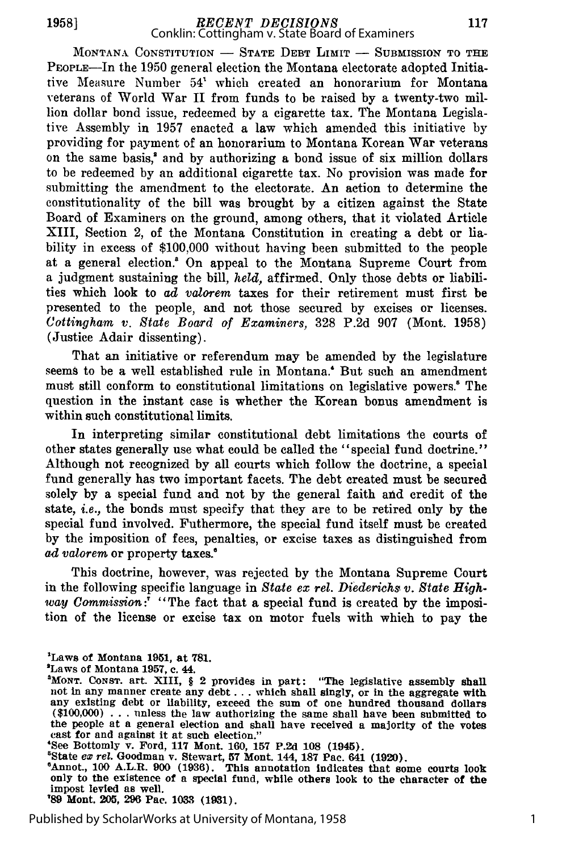## *RECENT DECISIONS* Conklin: Cottingham v. State Board of Examiners

MONTANA CONSTITUTION - STATE DEBT LIMIT - SUBMISSION TO THE PEoPiE-In the 1950 general election the Montana electorate adopted Initiative Measure Number 54' which created an honorarium for Montana veterans of World War II from funds to be raised by a twenty-two million dollar bond issue, redeemed by a cigarette tax. The Montana Legislative Assembly in 1957 enacted a law which amended this initiative by providing for payment of an honorarium to Montana Korean War veterans on the same basis,' and by authorizing a bond issue of six million dollars to be redeemed by an additional cigarette tax. No provision was made for submitting the amendment to the electorate. An action to determine the constitutionality of the bill was brought by a citizen against the State Board of Examiners on the ground, among others, that it violated Article XIII, Section 2, of the Montana Constitution in creating a debt or liability in excess of \$100,000 without having been submitted to the people at a general election.' On appeal to the Montana Supreme Court from a judgment sustaining the bill, *held,* affirmed. Only those debts or liabilities which look to *ad valorem* taxes for their retirement must first be presented to the people, and not those secured by excises or licenses. *Cottingham v. State Board of Examiners,* 328 P.2d 907 (Mont. 1958) (Justice Adair dissenting).

That an initiative or referendum may be amended by the legislature seems to be a well established rule in Montana.' But such an amendment must still conform to constitutional limitations on legislative powers.<sup>5</sup> The question in the instant case is whether the Korean bonus amendment is within such constitutional limits.

In interpreting similar constitutional debt limitations the courts of other states generally use what could be called the "special fund doctrine." Although not recognized by all courts which follow the doctrine, a special fund generally has two important facets. The debt created must be secured solely by a special fund and not by the general faith and credit of the state, *i.e.,* the bonds must specify that they are to be retired only by the special fund involved. Futhermore, the special fund itself must be created by the imposition of fees, penalties, or excise taxes as distinguished from ad valorem or property taxes.<sup>6</sup>

This doctrine, however, was rejected by the Montana Supreme Court in the following specific language in *State ex rel. Diederichs v. State High*way Commission:<sup>7</sup> "The fact that a special fund is created by the imposition of the license or excise tax on motor fuels with which to pay the

- 'Laws of Montana **1951,** at **781.**
- 'Laws of Montana **1957, c.** 44.

'See Bottomly v. Ford, 117 Mont. 160, 157 P.2d 108 (1945).

8State ex *rel.* Goodman v. Stewart, **57** Mont. 144, **187** Pac. 641 **(1920).**

6Annot., **100** A.L.R. **900 (1936).** This annotation Indicates that some courts look only to the existence of a special fund, while others look to the character of the impost levied as well.

**'89** Mont. **205, 296** Pac. **103 (1931).**

Published by ScholarWorks at University of Montana, 1958

1

**<sup>&</sup>quot;MONT. CONST.** art. XIII, § 2 provides in part: "The legislative assembly shall not in any manner create any debt . . . which shall singly, or in the aggregate with any existing debt or liability, exceed the sum of one hundred thousand dollars **(\$100,000) .. .**unless the law authorizing the same shall have been submitted to the people at a general election and shall have received a majority of the votes cast for and against it at such election."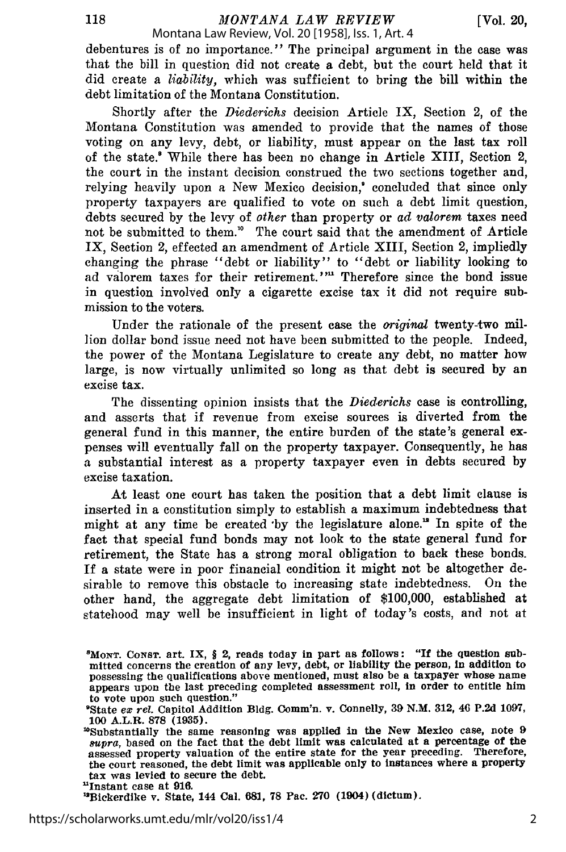debentures is of no importance." The principal argument in the case was that the bill in question did not create a debt, but the court held that it did create a *liability,* which was sufficient to bring the bill within the debt limitation of the Montana Constitution.

Shortly after the *Diederichs* decision Article IX, Section 2, of the Montana Constitution was amended to provide that the names of those voting on any levy, debt, or liability, must appear on the last tax roll of the state.<sup>8</sup> While there has been no change in Article XIII, Section 2, the court in the instant decision construed the two sections together and, relying heavily upon a New Mexico decision,' concluded that since only property taxpayers are qualified to vote on such a debt limit question, debts secured by the levy of other than property or *ad valorem* taxes need not be submitted to them." The court said that the amendment of Article IX, Section 2, effected an amendment of Article XIII, Section 2, impliedly changing the phrase "debt or liability" to "debt or liability looking to ad valorem taxes for their retirement."" Therefore since the bond issue in question involved only a cigarette excise tax it did not require submission to the voters.

Under the rationale of the present case the *original* twenty-two million dollar bond issue need not have been submitted to the people. Indeed, the power of the Montana Legislature to create any debt, no matter how large, is now virtually unlimited so long as that debt is secured by an excise tax.

The dissenting opinion insists that the *Diederichs* case is controlling, and asserts that if revenue from excise sources is diverted from the general fund in this manner, the entire burden of the state's general expenses will eventually fall on the property taxpayer. Consequently, he has a substantial interest as a property taxpayer even in debts secured by excise taxation.

At least one court has taken the position that a debt limit clause is inserted in a constitution simply to establish a maximum indebtedness that might at any time be created by the legislature alone.<sup>12</sup> In spite of the fact that special fund bonds may not look to the state general fund for retirement, the State has a strong moral obligation to back these bonds. If a state were in poor financial condition it might not be altogether desirable to remove this obstacle to increasing state indebtedness. On the other hand, the aggregate debt limitation of \$100,000, established at statehood may well be insufficient in light of today's costs, and not at

118

<sup>8</sup> MoNT. CoNST. art. IX, **§** 2, reads today in part as follows: "If the question submitted concerns the creation of any levy, debt, or liability the person, in addition to possessing the qualifications above mentioned, must also be a taxpayer whose name appears upon the last preceding completed assessment roll, in order to entitle him to vote upon such question."

<sup>&</sup>lt;sup>9</sup>State ex rel. Capitol Addition Bldg. Comm'n. v. Connelly, 39 N.M. 312, 46 P.2d 1097, **100** A.L.R. **878 (1935).**

<sup>&#</sup>x27;Substantially the same reasoning was applied in the New Mexico case, note **9** *supra,* based on the fact that the debt limit was calculated at a percentage of the assessed property valuation of the entire state for the year preceding. Therefore, the court reasoned, the debt limit was applicable only to instances where a property tax was levied to secure the debt.

<sup>&#</sup>x27;Instant case at **916.**

<sup>&</sup>quot;Bickerdike v. State, 144 Cal. **681, 78** Pac. **270** (1904) (dictum).